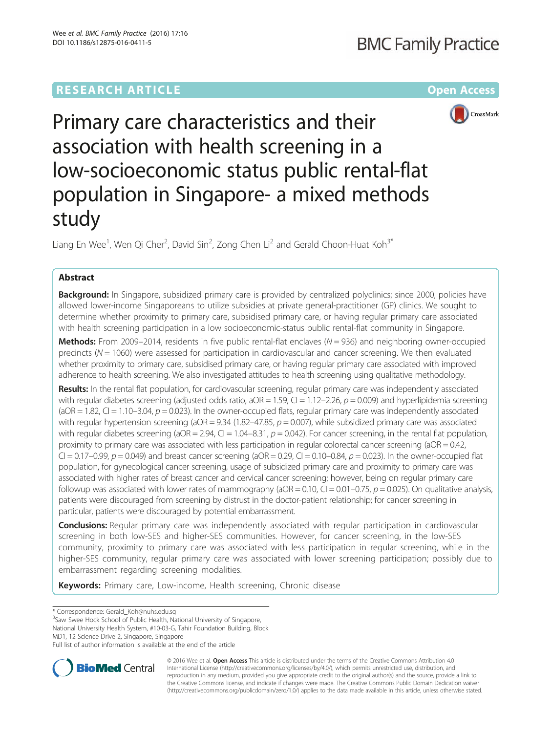# **RESEARCH ARTICLE Example 2014 12:30 The Community Community Community Community Community Community Community**



Primary care characteristics and their association with health screening in a low-socioeconomic status public rental-flat population in Singapore- a mixed methods study

Liang En Wee<sup>1</sup>, Wen Qi Cher<sup>2</sup>, David Sin<sup>2</sup>, Zong Chen Li<sup>2</sup> and Gerald Choon-Huat Koh<sup>3\*</sup>

# Abstract

Background: In Singapore, subsidized primary care is provided by centralized polyclinics; since 2000, policies have allowed lower-income Singaporeans to utilize subsidies at private general-practitioner (GP) clinics. We sought to determine whether proximity to primary care, subsidised primary care, or having regular primary care associated with health screening participation in a low socioeconomic-status public rental-flat community in Singapore.

**Methods:** From 2009–2014, residents in five public rental-flat enclaves ( $N = 936$ ) and neighboring owner-occupied precincts ( $N = 1060$ ) were assessed for participation in cardiovascular and cancer screening. We then evaluated whether proximity to primary care, subsidised primary care, or having regular primary care associated with improved adherence to health screening. We also investigated attitudes to health screening using qualitative methodology.

Results: In the rental flat population, for cardiovascular screening, regular primary care was independently associated with regular diabetes screening (adjusted odds ratio,  $aOR = 1.59$ ,  $Cl = 1.12-2.26$ ,  $p = 0.009$ ) and hyperlipidemia screening (aOR = 1.82, CI = 1.10–3.04,  $p = 0.023$ ). In the owner-occupied flats, regular primary care was independently associated with regular hypertension screening ( $aOR = 9.34$  (1.82–47.85,  $p = 0.007$ ), while subsidized primary care was associated with regular diabetes screening (aOR = 2.94, CI = 1.04–8.31,  $p = 0.042$ ). For cancer screening, in the rental flat population, proximity to primary care was associated with less participation in regular colorectal cancer screening ( $aOR = 0.42$ , CI = 0.17–0.99,  $p = 0.049$ ) and breast cancer screening (aOR = 0.29, CI = 0.10–0.84,  $p = 0.023$ ). In the owner-occupied flat population, for gynecological cancer screening, usage of subsidized primary care and proximity to primary care was associated with higher rates of breast cancer and cervical cancer screening; however, being on regular primary care followup was associated with lower rates of mammography ( $aOR = 0.10$ ,  $Cl = 0.01-0.75$ ,  $p = 0.025$ ). On qualitative analysis, patients were discouraged from screening by distrust in the doctor-patient relationship; for cancer screening in particular, patients were discouraged by potential embarrassment.

Conclusions: Regular primary care was independently associated with regular participation in cardiovascular screening in both low-SES and higher-SES communities. However, for cancer screening, in the low-SES community, proximity to primary care was associated with less participation in regular screening, while in the higher-SES community, regular primary care was associated with lower screening participation; possibly due to embarrassment regarding screening modalities.

Keywords: Primary care, Low-income, Health screening, Chronic disease

\* Correspondence: [Gerald\\_Koh@nuhs.edu.sg](mailto:Gerald_Koh@nuhs.edu.sg) <sup>3</sup>

<sup>3</sup>Saw Swee Hock School of Public Health, National University of Singapore,

National University Health System, #10-03-G, Tahir Foundation Building, Block MD1, 12 Science Drive 2, Singapore, Singapore

Full list of author information is available at the end of the article



© 2016 Wee et al. Open Access This article is distributed under the terms of the Creative Commons Attribution 4.0 International License [\(http://creativecommons.org/licenses/by/4.0/](http://creativecommons.org/licenses/by/4.0/)), which permits unrestricted use, distribution, and reproduction in any medium, provided you give appropriate credit to the original author(s) and the source, provide a link to the Creative Commons license, and indicate if changes were made. The Creative Commons Public Domain Dedication waiver [\(http://creativecommons.org/publicdomain/zero/1.0/](http://creativecommons.org/publicdomain/zero/1.0/)) applies to the data made available in this article, unless otherwise stated.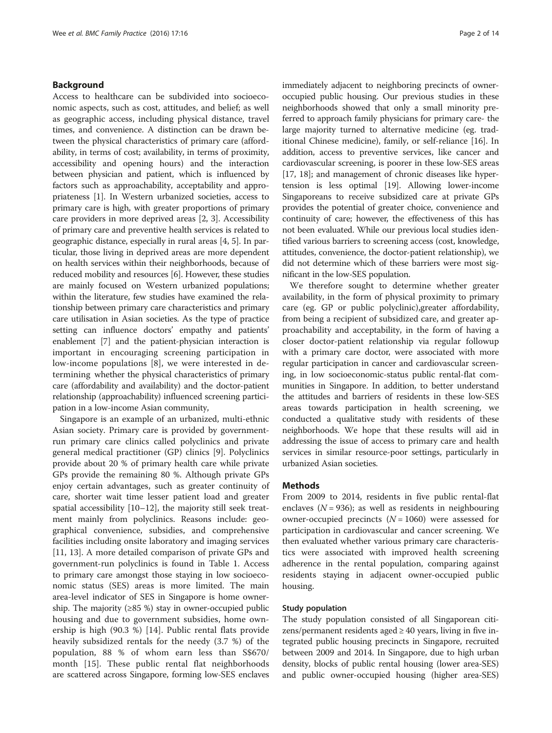## Background

Access to healthcare can be subdivided into socioeconomic aspects, such as cost, attitudes, and belief; as well as geographic access, including physical distance, travel times, and convenience. A distinction can be drawn between the physical characteristics of primary care (affordability, in terms of cost; availability, in terms of proximity, accessibility and opening hours) and the interaction between physician and patient, which is influenced by factors such as approachability, acceptability and appropriateness [\[1\]](#page-12-0). In Western urbanized societies, access to primary care is high, with greater proportions of primary care providers in more deprived areas [[2](#page-12-0), [3\]](#page-12-0). Accessibility of primary care and preventive health services is related to geographic distance, especially in rural areas [\[4](#page-12-0), [5\]](#page-12-0). In particular, those living in deprived areas are more dependent on health services within their neighborhoods, because of reduced mobility and resources [\[6](#page-12-0)]. However, these studies are mainly focused on Western urbanized populations; within the literature, few studies have examined the relationship between primary care characteristics and primary care utilisation in Asian societies. As the type of practice setting can influence doctors' empathy and patients' enablement [[7](#page-12-0)] and the patient-physician interaction is important in encouraging screening participation in low-income populations [[8\]](#page-12-0), we were interested in determining whether the physical characteristics of primary care (affordability and availability) and the doctor-patient relationship (approachability) influenced screening participation in a low-income Asian community,

Singapore is an example of an urbanized, multi-ethnic Asian society. Primary care is provided by governmentrun primary care clinics called polyclinics and private general medical practitioner (GP) clinics [\[9](#page-12-0)]. Polyclinics provide about 20 % of primary health care while private GPs provide the remaining 80 %. Although private GPs enjoy certain advantages, such as greater continuity of care, shorter wait time lesser patient load and greater spatial accessibility [\[10](#page-12-0)–[12\]](#page-12-0), the majority still seek treatment mainly from polyclinics. Reasons include: geographical convenience, subsidies, and comprehensive facilities including onsite laboratory and imaging services [[11, 13\]](#page-12-0). A more detailed comparison of private GPs and government-run polyclinics is found in Table [1.](#page-2-0) Access to primary care amongst those staying in low socioeconomic status (SES) areas is more limited. The main area-level indicator of SES in Singapore is home ownership. The majority  $(≥85%)$  stay in owner-occupied public housing and due to government subsidies, home ownership is high (90.3 %) [[14\]](#page-12-0). Public rental flats provide heavily subsidized rentals for the needy (3.7 %) of the population, 88 % of whom earn less than S\$670/ month [[15\]](#page-12-0). These public rental flat neighborhoods are scattered across Singapore, forming low-SES enclaves immediately adjacent to neighboring precincts of owneroccupied public housing. Our previous studies in these neighborhoods showed that only a small minority preferred to approach family physicians for primary care- the large majority turned to alternative medicine (eg. traditional Chinese medicine), family, or self-reliance [\[16](#page-12-0)]. In addition, access to preventive services, like cancer and cardiovascular screening, is poorer in these low-SES areas [[17](#page-12-0), [18\]](#page-12-0); and management of chronic diseases like hypertension is less optimal [[19](#page-12-0)]. Allowing lower-income Singaporeans to receive subsidized care at private GPs provides the potential of greater choice, convenience and continuity of care; however, the effectiveness of this has not been evaluated. While our previous local studies identified various barriers to screening access (cost, knowledge, attitudes, convenience, the doctor-patient relationship), we did not determine which of these barriers were most significant in the low-SES population.

We therefore sought to determine whether greater availability, in the form of physical proximity to primary care (eg. GP or public polyclinic),greater affordability, from being a recipient of subsidized care, and greater approachability and acceptability, in the form of having a closer doctor-patient relationship via regular followup with a primary care doctor, were associated with more regular participation in cancer and cardiovascular screening, in low socioeconomic-status public rental-flat communities in Singapore. In addition, to better understand the attitudes and barriers of residents in these low-SES areas towards participation in health screening, we conducted a qualitative study with residents of these neighborhoods. We hope that these results will aid in addressing the issue of access to primary care and health services in similar resource-poor settings, particularly in urbanized Asian societies.

## **Methods**

From 2009 to 2014, residents in five public rental-flat enclaves ( $N = 936$ ); as well as residents in neighbouring owner-occupied precincts  $(N = 1060)$  were assessed for participation in cardiovascular and cancer screening. We then evaluated whether various primary care characteristics were associated with improved health screening adherence in the rental population, comparing against residents staying in adjacent owner-occupied public housing.

### Study population

The study population consisted of all Singaporean citizens/permanent residents aged ≥ 40 years, living in five integrated public housing precincts in Singapore, recruited between 2009 and 2014. In Singapore, due to high urban density, blocks of public rental housing (lower area-SES) and public owner-occupied housing (higher area-SES)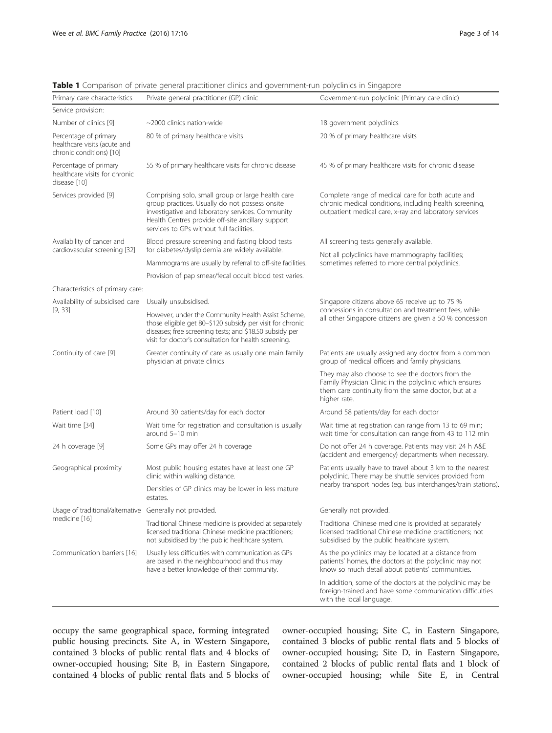| Private general practitioner (GP) clinic                                                                                                                                                                                                                                                                                                                                                                                                                                                                                                                                                                                                                                                                                                                                                                                                                                                                                                                                                                                                                                                                                                                                                                                                                             | Government-run polyclinic (Primary care clinic)                                                                                                                                    |  |  |  |  |
|----------------------------------------------------------------------------------------------------------------------------------------------------------------------------------------------------------------------------------------------------------------------------------------------------------------------------------------------------------------------------------------------------------------------------------------------------------------------------------------------------------------------------------------------------------------------------------------------------------------------------------------------------------------------------------------------------------------------------------------------------------------------------------------------------------------------------------------------------------------------------------------------------------------------------------------------------------------------------------------------------------------------------------------------------------------------------------------------------------------------------------------------------------------------------------------------------------------------------------------------------------------------|------------------------------------------------------------------------------------------------------------------------------------------------------------------------------------|--|--|--|--|
|                                                                                                                                                                                                                                                                                                                                                                                                                                                                                                                                                                                                                                                                                                                                                                                                                                                                                                                                                                                                                                                                                                                                                                                                                                                                      |                                                                                                                                                                                    |  |  |  |  |
| $\sim$ 2000 clinics nation-wide                                                                                                                                                                                                                                                                                                                                                                                                                                                                                                                                                                                                                                                                                                                                                                                                                                                                                                                                                                                                                                                                                                                                                                                                                                      | 18 government polyclinics                                                                                                                                                          |  |  |  |  |
| 80 % of primary healthcare visits                                                                                                                                                                                                                                                                                                                                                                                                                                                                                                                                                                                                                                                                                                                                                                                                                                                                                                                                                                                                                                                                                                                                                                                                                                    | 20 % of primary healthcare visits                                                                                                                                                  |  |  |  |  |
| 55 % of primary healthcare visits for chronic disease                                                                                                                                                                                                                                                                                                                                                                                                                                                                                                                                                                                                                                                                                                                                                                                                                                                                                                                                                                                                                                                                                                                                                                                                                | 45 % of primary healthcare visits for chronic disease                                                                                                                              |  |  |  |  |
| Comprising solo, small group or large health care<br>group practices. Usually do not possess onsite<br>investigative and laboratory services. Community<br>Health Centres provide off-site ancillary support<br>services to GPs without full facilities.                                                                                                                                                                                                                                                                                                                                                                                                                                                                                                                                                                                                                                                                                                                                                                                                                                                                                                                                                                                                             | Complete range of medical care for both acute and<br>chronic medical conditions, including health screening,<br>outpatient medical care, x-ray and laboratory services             |  |  |  |  |
| Blood pressure screening and fasting blood tests                                                                                                                                                                                                                                                                                                                                                                                                                                                                                                                                                                                                                                                                                                                                                                                                                                                                                                                                                                                                                                                                                                                                                                                                                     | All screening tests generally available.                                                                                                                                           |  |  |  |  |
| Mammograms are usually by referral to off-site facilities.                                                                                                                                                                                                                                                                                                                                                                                                                                                                                                                                                                                                                                                                                                                                                                                                                                                                                                                                                                                                                                                                                                                                                                                                           | Not all polyclinics have mammography facilities;<br>sometimes referred to more central polyclinics.                                                                                |  |  |  |  |
| Provision of pap smear/fecal occult blood test varies.                                                                                                                                                                                                                                                                                                                                                                                                                                                                                                                                                                                                                                                                                                                                                                                                                                                                                                                                                                                                                                                                                                                                                                                                               |                                                                                                                                                                                    |  |  |  |  |
|                                                                                                                                                                                                                                                                                                                                                                                                                                                                                                                                                                                                                                                                                                                                                                                                                                                                                                                                                                                                                                                                                                                                                                                                                                                                      |                                                                                                                                                                                    |  |  |  |  |
| Usually unsubsidised.                                                                                                                                                                                                                                                                                                                                                                                                                                                                                                                                                                                                                                                                                                                                                                                                                                                                                                                                                                                                                                                                                                                                                                                                                                                | Singapore citizens above 65 receive up to 75 %                                                                                                                                     |  |  |  |  |
| healthcare visits for chronic<br>cardiovascular screening [32]<br>for diabetes/dyslipidemia are widely available.<br>Characteristics of primary care:<br>Availability of subsidised care<br>However, under the Community Health Assist Scheme,<br>those eligible get 80-\$120 subsidy per visit for chronic<br>diseases; free screening tests; and \$18.50 subsidy per<br>visit for doctor's consultation for health screening.<br>Greater continuity of care as usually one main family<br>physician at private clinics<br>Around 30 patients/day for each doctor<br>Wait time for registration and consultation is usually<br>around $5-10$ min<br>Some GPs may offer 24 h coverage<br>Most public housing estates have at least one GP<br>clinic within walking distance.<br>Densities of GP clinics may be lower in less mature<br>estates.<br>Usage of traditional/alternative Generally not provided.<br>Traditional Chinese medicine is provided at separately<br>licensed traditional Chinese medicine practitioners;<br>not subsidised by the public healthcare system.<br>Communication barriers [16]<br>Usually less difficulties with communication as GPs<br>are based in the neighbourhood and thus may<br>have a better knowledge of their community. | concessions in consultation and treatment fees, while<br>all other Singapore citizens are given a 50 % concession                                                                  |  |  |  |  |
|                                                                                                                                                                                                                                                                                                                                                                                                                                                                                                                                                                                                                                                                                                                                                                                                                                                                                                                                                                                                                                                                                                                                                                                                                                                                      | Patients are usually assigned any doctor from a common<br>group of medical officers and family physicians.                                                                         |  |  |  |  |
|                                                                                                                                                                                                                                                                                                                                                                                                                                                                                                                                                                                                                                                                                                                                                                                                                                                                                                                                                                                                                                                                                                                                                                                                                                                                      | They may also choose to see the doctors from the<br>Family Physician Clinic in the polyclinic which ensures<br>them care continuity from the same doctor, but at a<br>higher rate. |  |  |  |  |
|                                                                                                                                                                                                                                                                                                                                                                                                                                                                                                                                                                                                                                                                                                                                                                                                                                                                                                                                                                                                                                                                                                                                                                                                                                                                      | Around 58 patients/day for each doctor                                                                                                                                             |  |  |  |  |
|                                                                                                                                                                                                                                                                                                                                                                                                                                                                                                                                                                                                                                                                                                                                                                                                                                                                                                                                                                                                                                                                                                                                                                                                                                                                      | Wait time at registration can range from 13 to 69 min;<br>wait time for consultation can range from 43 to 112 min                                                                  |  |  |  |  |
|                                                                                                                                                                                                                                                                                                                                                                                                                                                                                                                                                                                                                                                                                                                                                                                                                                                                                                                                                                                                                                                                                                                                                                                                                                                                      | Do not offer 24 h coverage. Patients may visit 24 h A&E<br>(accident and emergency) departments when necessary.                                                                    |  |  |  |  |
|                                                                                                                                                                                                                                                                                                                                                                                                                                                                                                                                                                                                                                                                                                                                                                                                                                                                                                                                                                                                                                                                                                                                                                                                                                                                      | Patients usually have to travel about 3 km to the nearest<br>polyclinic. There may be shuttle services provided from                                                               |  |  |  |  |
|                                                                                                                                                                                                                                                                                                                                                                                                                                                                                                                                                                                                                                                                                                                                                                                                                                                                                                                                                                                                                                                                                                                                                                                                                                                                      | nearby transport nodes (eq. bus interchanges/train stations).                                                                                                                      |  |  |  |  |
|                                                                                                                                                                                                                                                                                                                                                                                                                                                                                                                                                                                                                                                                                                                                                                                                                                                                                                                                                                                                                                                                                                                                                                                                                                                                      | Generally not provided.                                                                                                                                                            |  |  |  |  |
|                                                                                                                                                                                                                                                                                                                                                                                                                                                                                                                                                                                                                                                                                                                                                                                                                                                                                                                                                                                                                                                                                                                                                                                                                                                                      | Traditional Chinese medicine is provided at separately<br>licensed traditional Chinese medicine practitioners; not<br>subsidised by the public healthcare system.                  |  |  |  |  |
|                                                                                                                                                                                                                                                                                                                                                                                                                                                                                                                                                                                                                                                                                                                                                                                                                                                                                                                                                                                                                                                                                                                                                                                                                                                                      | As the polyclinics may be located at a distance from<br>patients' homes, the doctors at the polyclinic may not<br>know so much detail about patients' communities.                 |  |  |  |  |
|                                                                                                                                                                                                                                                                                                                                                                                                                                                                                                                                                                                                                                                                                                                                                                                                                                                                                                                                                                                                                                                                                                                                                                                                                                                                      | In addition, some of the doctors at the polyclinic may be<br>foreign-trained and have some communication difficulties<br>with the local language.                                  |  |  |  |  |
|                                                                                                                                                                                                                                                                                                                                                                                                                                                                                                                                                                                                                                                                                                                                                                                                                                                                                                                                                                                                                                                                                                                                                                                                                                                                      |                                                                                                                                                                                    |  |  |  |  |

<span id="page-2-0"></span>Table 1 Comparison of private general practitioner clinics and government-run polyclinics in Singapore

occupy the same geographical space, forming integrated public housing precincts. Site A, in Western Singapore, contained 3 blocks of public rental flats and 4 blocks of owner-occupied housing; Site B, in Eastern Singapore, contained 4 blocks of public rental flats and 5 blocks of owner-occupied housing; Site C, in Eastern Singapore, contained 3 blocks of public rental flats and 5 blocks of owner-occupied housing; Site D, in Eastern Singapore, contained 2 blocks of public rental flats and 1 block of owner-occupied housing; while Site E, in Central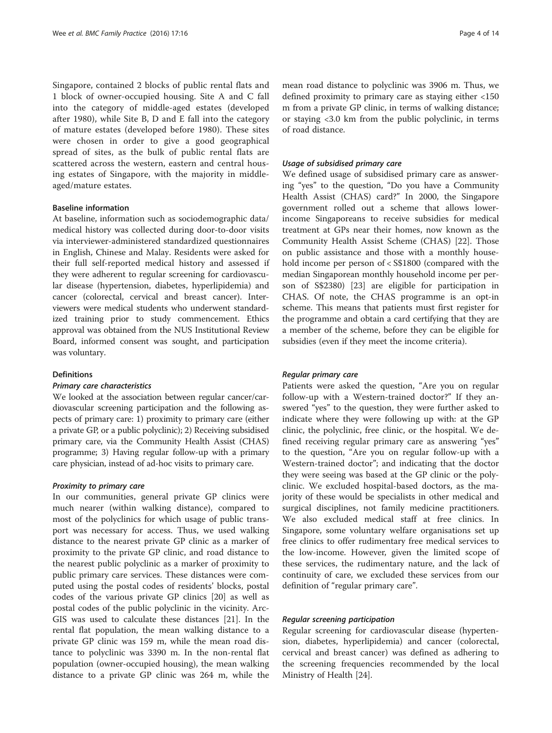Singapore, contained 2 blocks of public rental flats and 1 block of owner-occupied housing. Site A and C fall into the category of middle-aged estates (developed after 1980), while Site B, D and E fall into the category of mature estates (developed before 1980). These sites were chosen in order to give a good geographical spread of sites, as the bulk of public rental flats are scattered across the western, eastern and central housing estates of Singapore, with the majority in middleaged/mature estates.

## Baseline information

At baseline, information such as sociodemographic data/ medical history was collected during door-to-door visits via interviewer-administered standardized questionnaires in English, Chinese and Malay. Residents were asked for their full self-reported medical history and assessed if they were adherent to regular screening for cardiovascular disease (hypertension, diabetes, hyperlipidemia) and cancer (colorectal, cervical and breast cancer). Interviewers were medical students who underwent standardized training prior to study commencement. Ethics approval was obtained from the NUS Institutional Review Board, informed consent was sought, and participation was voluntary.

#### Definitions

#### Primary care characteristics

We looked at the association between regular cancer/cardiovascular screening participation and the following aspects of primary care: 1) proximity to primary care (either a private GP, or a public polyclinic); 2) Receiving subsidised primary care, via the Community Health Assist (CHAS) programme; 3) Having regular follow-up with a primary care physician, instead of ad-hoc visits to primary care.

#### Proximity to primary care

In our communities, general private GP clinics were much nearer (within walking distance), compared to most of the polyclinics for which usage of public transport was necessary for access. Thus, we used walking distance to the nearest private GP clinic as a marker of proximity to the private GP clinic, and road distance to the nearest public polyclinic as a marker of proximity to public primary care services. These distances were computed using the postal codes of residents' blocks, postal codes of the various private GP clinics [[20\]](#page-12-0) as well as postal codes of the public polyclinic in the vicinity. Arc-GIS was used to calculate these distances [\[21](#page-12-0)]. In the rental flat population, the mean walking distance to a private GP clinic was 159 m, while the mean road distance to polyclinic was 3390 m. In the non-rental flat population (owner-occupied housing), the mean walking distance to a private GP clinic was 264 m, while the

mean road distance to polyclinic was 3906 m. Thus, we defined proximity to primary care as staying either <150 m from a private GP clinic, in terms of walking distance; or staying <3.0 km from the public polyclinic, in terms of road distance.

#### Usage of subsidised primary care

We defined usage of subsidised primary care as answering "yes" to the question, "Do you have a Community Health Assist (CHAS) card?" In 2000, the Singapore government rolled out a scheme that allows lowerincome Singaporeans to receive subsidies for medical treatment at GPs near their homes, now known as the Community Health Assist Scheme (CHAS) [\[22](#page-12-0)]. Those on public assistance and those with a monthly household income per person of < S\$1800 (compared with the median Singaporean monthly household income per person of S\$2380) [[23](#page-12-0)] are eligible for participation in CHAS. Of note, the CHAS programme is an opt-in scheme. This means that patients must first register for the programme and obtain a card certifying that they are a member of the scheme, before they can be eligible for subsidies (even if they meet the income criteria).

#### Regular primary care

Patients were asked the question, "Are you on regular follow-up with a Western-trained doctor?" If they answered "yes" to the question, they were further asked to indicate where they were following up with: at the GP clinic, the polyclinic, free clinic, or the hospital. We defined receiving regular primary care as answering "yes" to the question, "Are you on regular follow-up with a Western-trained doctor"; and indicating that the doctor they were seeing was based at the GP clinic or the polyclinic. We excluded hospital-based doctors, as the majority of these would be specialists in other medical and surgical disciplines, not family medicine practitioners. We also excluded medical staff at free clinics. In Singapore, some voluntary welfare organisations set up free clinics to offer rudimentary free medical services to the low-income. However, given the limited scope of these services, the rudimentary nature, and the lack of continuity of care, we excluded these services from our definition of "regular primary care".

#### Regular screening participation

Regular screening for cardiovascular disease (hypertension, diabetes, hyperlipidemia) and cancer (colorectal, cervical and breast cancer) was defined as adhering to the screening frequencies recommended by the local Ministry of Health [[24\]](#page-12-0).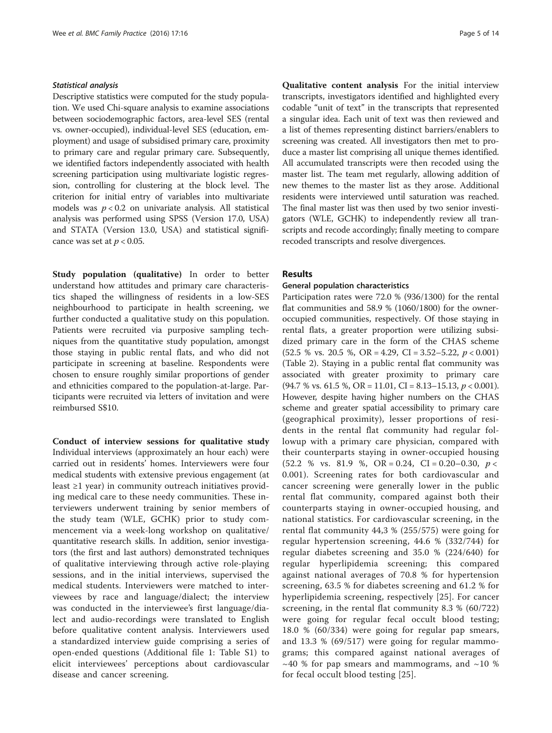#### Statistical analysis

Descriptive statistics were computed for the study population. We used Chi-square analysis to examine associations between sociodemographic factors, area-level SES (rental vs. owner-occupied), individual-level SES (education, employment) and usage of subsidised primary care, proximity to primary care and regular primary care. Subsequently, we identified factors independently associated with health screening participation using multivariate logistic regression, controlling for clustering at the block level. The criterion for initial entry of variables into multivariate models was  $p < 0.2$  on univariate analysis. All statistical analysis was performed using SPSS (Version 17.0, USA) and STATA (Version 13.0, USA) and statistical significance was set at  $p < 0.05$ .

Study population (qualitative) In order to better understand how attitudes and primary care characteristics shaped the willingness of residents in a low-SES neighbourhood to participate in health screening, we further conducted a qualitative study on this population. Patients were recruited via purposive sampling techniques from the quantitative study population, amongst those staying in public rental flats, and who did not participate in screening at baseline. Respondents were chosen to ensure roughly similar proportions of gender and ethnicities compared to the population-at-large. Participants were recruited via letters of invitation and were reimbursed S\$10.

Conduct of interview sessions for qualitative study Individual interviews (approximately an hour each) were carried out in residents' homes. Interviewers were four medical students with extensive previous engagement (at least  $\geq 1$  year) in community outreach initiatives providing medical care to these needy communities. These interviewers underwent training by senior members of the study team (WLE, GCHK) prior to study commencement via a week-long workshop on qualitative/ quantitative research skills. In addition, senior investigators (the first and last authors) demonstrated techniques of qualitative interviewing through active role-playing sessions, and in the initial interviews, supervised the medical students. Interviewers were matched to interviewees by race and language/dialect; the interview was conducted in the interviewee's first language/dialect and audio-recordings were translated to English before qualitative content analysis. Interviewers used a standardized interview guide comprising a series of open-ended questions (Additional file [1:](#page-12-0) Table S1) to elicit interviewees' perceptions about cardiovascular disease and cancer screening.

Qualitative content analysis For the initial interview transcripts, investigators identified and highlighted every codable "unit of text" in the transcripts that represented a singular idea. Each unit of text was then reviewed and a list of themes representing distinct barriers/enablers to screening was created. All investigators then met to produce a master list comprising all unique themes identified. All accumulated transcripts were then recoded using the master list. The team met regularly, allowing addition of new themes to the master list as they arose. Additional residents were interviewed until saturation was reached. The final master list was then used by two senior investigators (WLE, GCHK) to independently review all transcripts and recode accordingly; finally meeting to compare recoded transcripts and resolve divergences.

### Results

#### General population characteristics

Participation rates were 72.0 % (936/1300) for the rental flat communities and 58.9 % (1060/1800) for the owneroccupied communities, respectively. Of those staying in rental flats, a greater proportion were utilizing subsidized primary care in the form of the CHAS scheme  $(52.5 \% \text{ vs. } 20.5 \% \text{ OR } = 4.29, \text{ CI} = 3.52 - 5.22, \ p < 0.001)$ (Table [2\)](#page-5-0). Staying in a public rental flat community was associated with greater proximity to primary care  $(94.7 %$  vs. 61.5 %, OR = 11.01, CI = 8.13–15.13,  $p < 0.001$ ). However, despite having higher numbers on the CHAS scheme and greater spatial accessibility to primary care (geographical proximity), lesser proportions of residents in the rental flat community had regular followup with a primary care physician, compared with their counterparts staying in owner-occupied housing  $(52.2 \% \text{ vs. } 81.9 \% \text{ OR } = 0.24, \text{ CI} = 0.20 - 0.30, \ p <$ 0.001). Screening rates for both cardiovascular and cancer screening were generally lower in the public rental flat community, compared against both their counterparts staying in owner-occupied housing, and national statistics. For cardiovascular screening, in the rental flat community 44,3 % (255/575) were going for regular hypertension screening, 44.6 % (332/744) for regular diabetes screening and 35.0 % (224/640) for regular hyperlipidemia screening; this compared against national averages of 70.8 % for hypertension screening, 63.5 % for diabetes screening and 61.2 % for hyperlipidemia screening, respectively [\[25](#page-12-0)]. For cancer screening, in the rental flat community 8.3 % (60/722) were going for regular fecal occult blood testing; 18.0 % (60/334) were going for regular pap smears, and 13.3 % (69/517) were going for regular mammograms; this compared against national averages of  $\sim$  40 % for pap smears and mammograms, and  $\sim$  10 % for fecal occult blood testing [\[25](#page-12-0)].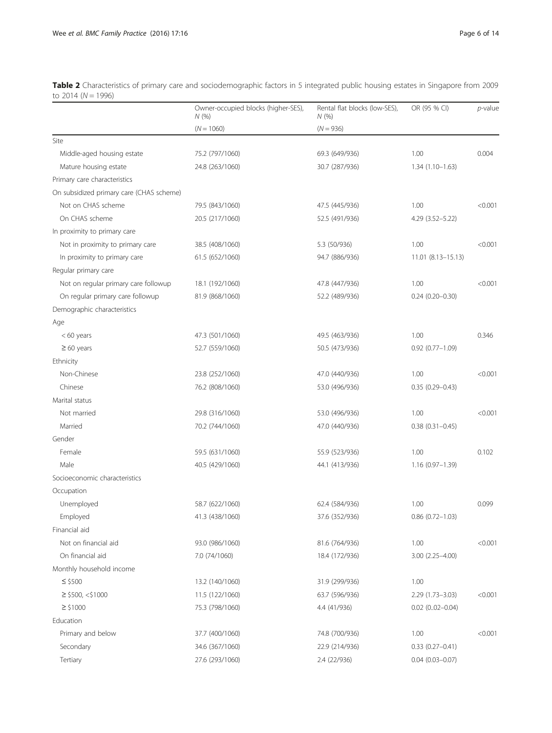|                                          | Owner-occupied blocks (higher-SES),<br>N(% | Rental flat blocks (low-SES),<br>N(% | OR (95 % CI)           | $p$ -value |
|------------------------------------------|--------------------------------------------|--------------------------------------|------------------------|------------|
|                                          | $(N = 1060)$                               | $(N = 936)$                          |                        |            |
| Site                                     |                                            |                                      |                        |            |
| Middle-aged housing estate               | 75.2 (797/1060)                            | 69.3 (649/936)                       | 1.00                   | 0.004      |
| Mature housing estate                    | 24.8 (263/1060)                            | 30.7 (287/936)                       | $1.34(1.10-1.63)$      |            |
| Primary care characteristics             |                                            |                                      |                        |            |
| On subsidized primary care (CHAS scheme) |                                            |                                      |                        |            |
| Not on CHAS scheme                       | 79.5 (843/1060)                            | 47.5 (445/936)                       | 1.00                   | < 0.001    |
| On CHAS scheme                           | 20.5 (217/1060)                            | 52.5 (491/936)                       | 4.29 (3.52-5.22)       |            |
| In proximity to primary care             |                                            |                                      |                        |            |
| Not in proximity to primary care         | 38.5 (408/1060)                            | 5.3 (50/936)                         | 1.00                   | < 0.001    |
| In proximity to primary care             | 61.5 (652/1060)                            | 94.7 (886/936)                       | 11.01 (8.13-15.13)     |            |
| Regular primary care                     |                                            |                                      |                        |            |
| Not on regular primary care followup     | 18.1 (192/1060)                            | 47.8 (447/936)                       | 1.00                   | < 0.001    |
| On regular primary care followup         | 81.9 (868/1060)                            | 52.2 (489/936)                       | $0.24(0.20 - 0.30)$    |            |
| Demographic characteristics              |                                            |                                      |                        |            |
| Age                                      |                                            |                                      |                        |            |
| $< 60$ years                             | 47.3 (501/1060)                            | 49.5 (463/936)                       | 1.00                   | 0.346      |
| $\geq 60$ years                          | 52.7 (559/1060)                            | 50.5 (473/936)                       | $0.92$ $(0.77 - 1.09)$ |            |
| Ethnicity                                |                                            |                                      |                        |            |
| Non-Chinese                              | 23.8 (252/1060)                            | 47.0 (440/936)                       | 1.00                   | < 0.001    |
| Chinese                                  | 76.2 (808/1060)                            | 53.0 (496/936)                       | $0.35(0.29 - 0.43)$    |            |
| Marital status                           |                                            |                                      |                        |            |
| Not married                              | 29.8 (316/1060)                            | 53.0 (496/936)                       | 1.00                   | < 0.001    |
| Married                                  | 70.2 (744/1060)                            | 47.0 (440/936)                       | $0.38(0.31 - 0.45)$    |            |
| Gender                                   |                                            |                                      |                        |            |
| Female                                   | 59.5 (631/1060)                            | 55.9 (523/936)                       | 1.00                   | 0.102      |
| Male                                     | 40.5 (429/1060)                            | 44.1 (413/936)                       | $1.16(0.97 - 1.39)$    |            |
| Socioeconomic characteristics            |                                            |                                      |                        |            |
| Occupation                               |                                            |                                      |                        |            |
| Unemployed                               | 58.7 (622/1060)                            | 62.4 (584/936)                       | 1.00                   | 0.099      |
| Employed                                 | 41.3 (438/1060)                            | 37.6 (352/936)                       | $0.86$ $(0.72 - 1.03)$ |            |
| Financial aid                            |                                            |                                      |                        |            |
| Not on financial aid                     | 93.0 (986/1060)                            | 81.6 (764/936)                       | 1.00                   | < 0.001    |
| On financial aid                         | 7.0 (74/1060)                              | 18.4 (172/936)                       | $3.00(2.25 - 4.00)$    |            |
| Monthly household income                 |                                            |                                      |                        |            |
| $\le$ \$500                              | 13.2 (140/1060)                            | 31.9 (299/936)                       | 1.00                   |            |
| $\ge$ \$500, <\$1000                     | 11.5 (122/1060)                            | 63.7 (596/936)                       | 2.29 (1.73-3.03)       | < 0.001    |
| $\geq$ \$1000                            | 75.3 (798/1060)                            | 4.4 (41/936)                         | $0.02$ $(0.02 - 0.04)$ |            |
| Education                                |                                            |                                      |                        |            |
| Primary and below                        | 37.7 (400/1060)                            | 74.8 (700/936)                       | 1.00                   | < 0.001    |
| Secondary                                | 34.6 (367/1060)                            | 22.9 (214/936)                       | $0.33(0.27 - 0.41)$    |            |
| Tertiary                                 | 27.6 (293/1060)                            | 2.4 (22/936)                         | $0.04$ $(0.03 - 0.07)$ |            |

<span id="page-5-0"></span>Table 2 Characteristics of primary care and sociodemographic factors in 5 integrated public housing estates in Singapore from 2009 to 2014 (N = 1996)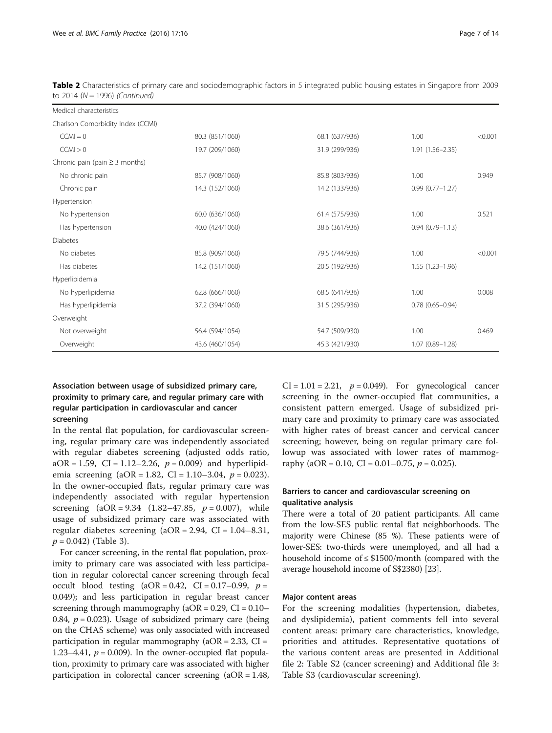| Medical characteristics             |                 |                |                     |         |
|-------------------------------------|-----------------|----------------|---------------------|---------|
| Charlson Comorbidity Index (CCMI)   |                 |                |                     |         |
| $CCMI = 0$                          | 80.3 (851/1060) | 68.1 (637/936) | 1.00                | < 0.001 |
| CCMI > 0                            | 19.7 (209/1060) | 31.9 (299/936) | $1.91(1.56 - 2.35)$ |         |
| Chronic pain (pain $\geq$ 3 months) |                 |                |                     |         |
| No chronic pain                     | 85.7 (908/1060) | 85.8 (803/936) | 1.00                | 0.949   |
| Chronic pain                        | 14.3 (152/1060) | 14.2 (133/936) | $0.99(0.77 - 1.27)$ |         |
| Hypertension                        |                 |                |                     |         |
| No hypertension                     | 60.0 (636/1060) | 61.4 (575/936) | 1.00                | 0.521   |
| Has hypertension                    | 40.0 (424/1060) | 38.6 (361/936) | $0.94(0.79 - 1.13)$ |         |
| <b>Diabetes</b>                     |                 |                |                     |         |
| No diabetes                         | 85.8 (909/1060) | 79.5 (744/936) | 1.00                | < 0.001 |
| Has diabetes                        | 14.2 (151/1060) | 20.5 (192/936) | $1.55(1.23 - 1.96)$ |         |
| Hyperlipidemia                      |                 |                |                     |         |
| No hyperlipidemia                   | 62.8 (666/1060) | 68.5 (641/936) | 1.00                | 0.008   |
| Has hyperlipidemia                  | 37.2 (394/1060) | 31.5 (295/936) | $0.78(0.65 - 0.94)$ |         |
| Overweight                          |                 |                |                     |         |
| Not overweight                      | 56.4 (594/1054) | 54.7 (509/930) | 1.00                | 0.469   |
| Overweight                          | 43.6 (460/1054) | 45.3 (421/930) | $1.07(0.89 - 1.28)$ |         |

Table 2 Characteristics of primary care and sociodemographic factors in 5 integrated public housing estates in Singapore from 2009 to 2014 ( $N = 1996$ ) (Continued)

# Association between usage of subsidized primary care, proximity to primary care, and regular primary care with regular participation in cardiovascular and cancer screening

In the rental flat population, for cardiovascular screening, regular primary care was independently associated with regular diabetes screening (adjusted odds ratio,  $aOR = 1.59$ ,  $CI = 1.12-2.26$ ,  $p = 0.009$  and hyperlipidemia screening (aOR = 1.82, CI = 1.10–3.04,  $p = 0.023$ ). In the owner-occupied flats, regular primary care was independently associated with regular hypertension screening  $(aOR = 9.34 \t(1.82 - 47.85, p = 0.007)$ , while usage of subsidized primary care was associated with regular diabetes screening  $(aOR = 2.94, CI = 1.04-8.31,$  $p = 0.042$ ) (Table [3\)](#page-7-0).

For cancer screening, in the rental flat population, proximity to primary care was associated with less participation in regular colorectal cancer screening through fecal occult blood testing  $(aOR = 0.42, CI = 0.17-0.99, p =$ 0.049); and less participation in regular breast cancer screening through mammography ( $aOR = 0.29$ ,  $CI = 0.10-$ 0.84,  $p = 0.023$ ). Usage of subsidized primary care (being on the CHAS scheme) was only associated with increased participation in regular mammography ( $aOR = 2.33$ ,  $CI =$ 1.23–4.41,  $p = 0.009$ ). In the owner-occupied flat population, proximity to primary care was associated with higher participation in colorectal cancer screening (aOR = 1.48,  $CI = 1.01 = 2.21$ ,  $p = 0.049$ ). For gynecological cancer screening in the owner-occupied flat communities, a consistent pattern emerged. Usage of subsidized primary care and proximity to primary care was associated with higher rates of breast cancer and cervical cancer screening; however, being on regular primary care followup was associated with lower rates of mammography (aOR = 0.10, CI = 0.01–0.75,  $p = 0.025$ ).

## Barriers to cancer and cardiovascular screening on qualitative analysis

There were a total of 20 patient participants. All came from the low-SES public rental flat neighborhoods. The majority were Chinese (85 %). These patients were of lower-SES: two-thirds were unemployed, and all had a household income of ≤ \$1500/month (compared with the average household income of S\$2380) [\[23](#page-12-0)].

### Major content areas

For the screening modalities (hypertension, diabetes, and dyslipidemia), patient comments fell into several content areas: primary care characteristics, knowledge, priorities and attitudes. Representative quotations of the various content areas are presented in Additional file [2:](#page-12-0) Table S2 (cancer screening) and Additional file [3](#page-12-0): Table S3 (cardiovascular screening).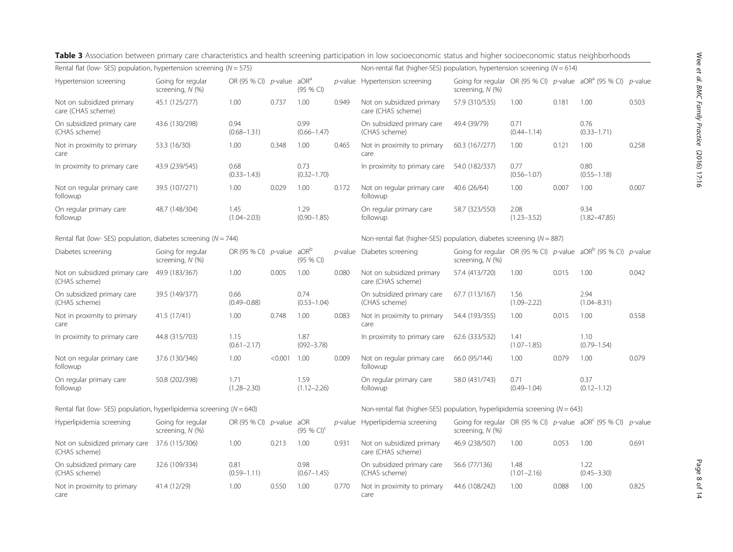| Rental flat (low- SES) population, hypertension screening ( $N = 575$ )   |                                       |                                          |         |                               |            | Non-rental flat (higher-SES) population, hypertension screening ( $N = 614$ )   |                                                                                          |                         |       |                          |            |
|---------------------------------------------------------------------------|---------------------------------------|------------------------------------------|---------|-------------------------------|------------|---------------------------------------------------------------------------------|------------------------------------------------------------------------------------------|-------------------------|-------|--------------------------|------------|
| Hypertension screening                                                    | Going for regular<br>screening, N (%) | OR (95 % CI) $p$ -value aOR <sup>a</sup> |         | (95 % CI)                     |            | p-value Hypertension screening                                                  | Going for regular OR (95 % CI) $p$ -value aOR <sup>a</sup> (95 % CI)<br>screening, N (%) |                         |       |                          | $p$ -value |
| Not on subsidized primary<br>care (CHAS scheme)                           | 45.1 (125/277)                        | 1.00                                     | 0.737   | 1.00                          | 0.949      | Not on subsidized primary<br>care (CHAS scheme)                                 | 57.9 (310/535)                                                                           | 1.00                    | 0.181 | 1.00                     | 0.503      |
| On subsidized primary care<br>(CHAS scheme)                               | 43.6 (130/298)                        | 0.94<br>$(0.68 - 1.31)$                  |         | 0.99<br>$(0.66 - 1.47)$       |            | On subsidized primary care<br>(CHAS scheme)                                     | 49.4 (39/79)                                                                             | 0.71<br>$(0.44 - 1.14)$ |       | 0.76<br>$(0.33 - 1.71)$  |            |
| Not in proximity to primary<br>care                                       | 53.3 (16/30)                          | 1.00                                     | 0.348   | 1.00                          | 0.465      | Not in proximity to primary<br>care                                             | 60.3 (167/277)                                                                           | 1.00                    | 0.121 | 1.00                     | 0.258      |
| In proximity to primary care                                              | 43.9 (239/545)                        | 0.68<br>$(0.33 - 1.43)$                  |         | 0.73<br>$(0.32 - 1.70)$       |            | In proximity to primary care                                                    | 54.0 (182/337)                                                                           | 0.77<br>$(0.56 - 1.07)$ |       | 0.80<br>$(0.55 - 1.18)$  |            |
| Not on regular primary care<br>followup                                   | 39.5 (107/271)                        | 1.00                                     | 0.029   | 1.00                          | 0.172      | Not on regular primary care<br>followup                                         | 40.6 (26/64)                                                                             | 1.00                    | 0.007 | 1.00                     | 0.007      |
| On regular primary care<br>followup                                       | 48.7 (148/304)                        | 1.45<br>$(1.04 - 2.03)$                  |         | 1.29<br>$(0.90 - 1.85)$       |            | On regular primary care<br>followup                                             | 58.7 (323/550)                                                                           | 2.08<br>$(1.23 - 3.52)$ |       | 9.34<br>$(1.82 - 47.85)$ |            |
| Rental flat (low- SES) population, diabetes screening ( $N = 744$ )       |                                       |                                          |         |                               |            | Non-rental flat (higher-SES) population, diabetes screening ( $N = 887$ )       |                                                                                          |                         |       |                          |            |
| Diabetes screening                                                        | Going for regular<br>screening, N (%) | OR (95 % CI) $p$ -value                  |         | aOR <sup>b</sup><br>(95 % CI) | $p$ -value | Diabetes screening                                                              | Going for regular OR (95 % CI) p-value aOR <sup>b</sup> (95 % CI)<br>screening, N (%)    |                         |       |                          | $p$ -value |
| Not on subsidized primary care<br>(CHAS scheme)                           | 49.9 (183/367)                        | 1.00                                     | 0.005   | 1.00                          | 0.080      | Not on subsidized primary<br>care (CHAS scheme)                                 | 57.4 (413/720)                                                                           | 1.00                    | 0.015 | 1.00                     | 0.042      |
| On subsidized primary care<br>(CHAS scheme)                               | 39.5 (149/377)                        | 0.66<br>$(0.49 - 0.88)$                  |         | 0.74<br>$(0.53 - 1.04)$       |            | On subsidized primary care<br>(CHAS scheme)                                     | 67.7 (113/167)                                                                           | 1.56<br>$(1.09 - 2.22)$ |       | 2.94<br>$(1.04 - 8.31)$  |            |
| Not in proximity to primary<br>care                                       | 41.5 (17/41)                          | 1.00                                     | 0.748   | 1.00                          | 0.083      | Not in proximity to primary<br>care                                             | 54.4 (193/355)                                                                           | 1.00                    | 0.015 | 1.00                     | 0.558      |
| In proximity to primary care                                              | 44.8 (315/703)                        | 1.15<br>$(0.61 - 2.17)$                  |         | 1.87<br>$(092 - 3.78)$        |            | In proximity to primary care                                                    | 62.6 (333/532)                                                                           | 1.41<br>$(1.07 - 1.85)$ |       | 1.10<br>$(0.79 - 1.54)$  |            |
| Not on regular primary care<br>followup                                   | 37.6 (130/346)                        | 1.00                                     | < 0.001 | 1.00                          | 0.009      | Not on regular primary care<br>followup                                         | 66.0 (95/144)                                                                            | 1.00                    | 0.079 | 1.00                     | 0.079      |
| On regular primary care<br>followup                                       | 50.8 (202/398)                        | 1.71<br>$(1.28 - 2.30)$                  |         | 1.59<br>$(1.12 - 2.26)$       |            | On regular primary care<br>followup                                             | 58.0 (431/743)                                                                           | 0.71<br>$(0.49 - 1.04)$ |       | 0.37<br>$(0.12 - 1.12)$  |            |
| Rental flat (low- SES) population, hyperlipidemia screening ( $N = 640$ ) |                                       |                                          |         |                               |            | Non-rental flat (higher-SES) population, hyperlipidemia screening ( $N = 643$ ) |                                                                                          |                         |       |                          |            |
| Hyperlipidemia screening                                                  | Going for regular<br>screening, N (%) | OR (95 % CI) $p$ -value aOR              |         | $(95 % CI)^{c}$               |            | p-value Hyperlipidemia screening                                                | Going for regular OR (95 % CI) $p$ -value aOR <sup>c</sup> (95 % CI)<br>screening, N (%) |                         |       |                          | $p$ -value |
| Not on subsidized primary care<br>(CHAS scheme)                           | 37.6 (115/306)                        | 1.00                                     | 0.213   | 1.00                          | 0.931      | Not on subsidized primary<br>care (CHAS scheme)                                 | 46.9 (238/507)                                                                           | 1.00                    | 0.053 | 1.00                     | 0.691      |
| On subsidized primary care<br>(CHAS scheme)                               | 32.6 (109/334)                        | 0.81<br>$(0.59 - 1.11)$                  |         | 0.98<br>$(0.67 - 1.45)$       |            | On subsidized primary care<br>(CHAS scheme)                                     | 56.6 (77/136)                                                                            | 1.48<br>$(1.01 - 2.16)$ |       | 1.22<br>$(0.45 - 3.30)$  |            |
| Not in proximity to primary<br>care                                       | 41.4 (12/29)                          | 1.00                                     | 0.550   | 1.00                          | 0.770      | Not in proximity to primary<br>care                                             | 44.6 (108/242)                                                                           | 1.00                    | 0.088 | 1.00                     | 0.825      |

<span id="page-7-0"></span>Table 3 Association between primary care characteristics and health screening participation in low socioeconomic status and higher socioeconomic status neighborhoods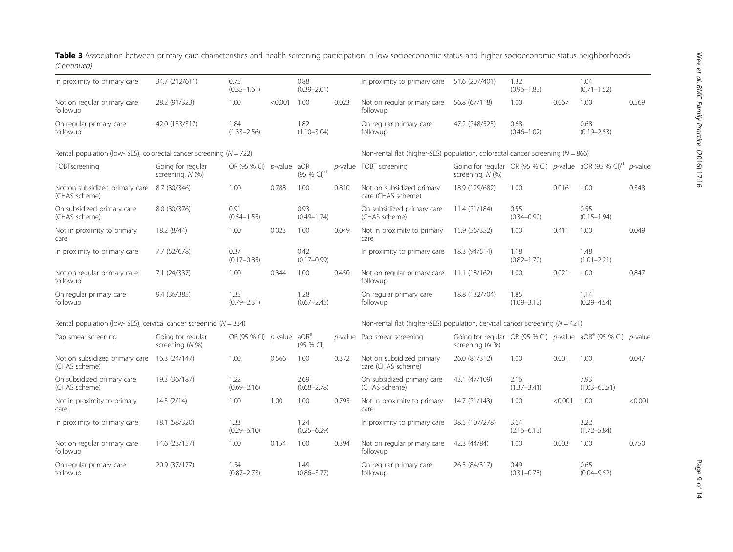| In proximity to primary care                                            | 34.7 (212/611)                        | 0.75<br>$(0.35 - 1.61)$  |         | 0.88<br>$(0.39 - 2.01)$       |       | In proximity to primary care                                                       | 51.6 (207/401)                                                                                  | 1.32<br>$(0.96 - 1.82)$ |         | 1.04<br>$(0.71 - 1.52)$  |                 |  |
|-------------------------------------------------------------------------|---------------------------------------|--------------------------|---------|-------------------------------|-------|------------------------------------------------------------------------------------|-------------------------------------------------------------------------------------------------|-------------------------|---------|--------------------------|-----------------|--|
| Not on regular primary care<br>followup                                 | 28.2 (91/323)                         | 1.00                     | < 0.001 | 1.00                          | 0.023 | Not on regular primary care<br>followup                                            | 56.8 (67/118)                                                                                   | 1.00                    | 0.067   | 1.00                     | 0.569           |  |
| On regular primary care<br>followup                                     | 42.0 (133/317)                        | 1.84<br>$(1.33 - 2.56)$  |         | 1.82<br>$(1.10 - 3.04)$       |       | On regular primary care<br>followup                                                | 47.2 (248/525)                                                                                  | 0.68<br>$(0.46 - 1.02)$ |         | 0.68<br>$(0.19 - 2.53)$  |                 |  |
| Rental population (low- SES), colorectal cancer screening ( $N = 722$ ) |                                       |                          |         |                               |       | Non-rental flat (higher-SES) population, colorectal cancer screening ( $N = 866$ ) |                                                                                                 |                         |         |                          |                 |  |
| FOBTscreening                                                           | Going for regular<br>screening, N (%) | OR (95 % CI) p-value aOR |         | (95 % CI) <sup>d</sup>        |       | p-value FOBT screening                                                             | Going for regular OR (95 % CI) p-value $aOR$ (95 % CI) <sup>d</sup> p-value<br>screening, N (%) |                         |         |                          |                 |  |
| Not on subsidized primary care<br>(CHAS scheme)                         | 8.7 (30/346)                          | 1.00                     | 0.788   | 1.00                          | 0.810 | Not on subsidized primary<br>care (CHAS scheme)                                    | 18.9 (129/682)                                                                                  | 1.00                    | 0.016   | 1.00                     | 0.348           |  |
| On subsidized primary care<br>(CHAS scheme)                             | 8.0 (30/376)                          | 0.91<br>$(0.54 - 1.55)$  |         | 0.93<br>$(0.49 - 1.74)$       |       | On subsidized primary care<br>(CHAS scheme)                                        | 11.4 (21/184)                                                                                   | 0.55<br>$(0.34 - 0.90)$ |         | 0.55<br>$(0.15 - 1.94)$  |                 |  |
| Not in proximity to primary<br>care                                     | 18.2 (8/44)                           | 1.00                     | 0.023   | 1.00                          | 0.049 | Not in proximity to primary<br>care                                                | 15.9 (56/352)                                                                                   | 1.00                    | 0.411   | 1.00                     | 0.049           |  |
| In proximity to primary care                                            | 7.7 (52/678)                          | 0.37<br>$(0.17 - 0.85)$  |         | 0.42<br>$(0.17 - 0.99)$       |       | In proximity to primary care                                                       | 18.3 (94/514)                                                                                   | 1.18<br>$(0.82 - 1.70)$ |         | 1.48<br>$(1.01 - 2.21)$  |                 |  |
| Not on regular primary care<br>followup                                 | 7.1 (24/337)                          | 1.00                     | 0.344   | 1.00                          | 0.450 | Not on regular primary care<br>followup                                            | 11.1 (18/162)                                                                                   | 1.00                    | 0.021   | 1.00                     | 0.847           |  |
| On regular primary care<br>followup                                     | 9.4 (36/385)                          | 1.35<br>$(0.79 - 2.31)$  |         | 1.28<br>$(0.67 - 2.45)$       |       | On regular primary care<br>followup                                                | 18.8 (132/704)                                                                                  | 1.85<br>$(1.09 - 3.12)$ |         | 1.14<br>$(0.29 - 4.54)$  |                 |  |
| Rental population (low- SES), cervical cancer screening ( $N = 334$ )   |                                       |                          |         |                               |       | Non-rental flat (higher-SES) population, cervical cancer screening ( $N = 421$ )   |                                                                                                 |                         |         |                          |                 |  |
| Pap smear screening                                                     | Going for regular<br>screening (N %)  | OR (95 % CI) $p$ -value  |         | aOR <sup>e</sup><br>(95 % CI) |       | $p$ -value Pap smear screening                                                     | Going for regular OR (95 % CI) $p$ -value aOR <sup>e</sup> (95 % CI)<br>screening $(N %)$       |                         |         |                          | <i>p</i> -value |  |
| Not on subsidized primary care<br>(CHAS scheme)                         | 16.3 (24/147)                         | 1.00                     | 0.566   | 1.00                          | 0.372 | Not on subsidized primary<br>care (CHAS scheme)                                    | 26.0 (81/312)                                                                                   | 1.00                    | 0.001   | 1.00                     | 0.047           |  |
| On subsidized primary care<br>(CHAS scheme)                             | 19.3 (36/187)                         | 1.22<br>$(0.69 - 2.16)$  |         | 2.69<br>$(0.68 - 2.78)$       |       | On subsidized primary care<br>(CHAS scheme)                                        | 43.1 (47/109)                                                                                   | 2.16<br>$(1.37 - 3.41)$ |         | 7.93<br>$(1.03 - 62.51)$ |                 |  |
| Not in proximity to primary<br>care                                     | 14.3(2/14)                            | 1.00                     | 1.00    | 1.00                          | 0.795 | Not in proximity to primary<br>care                                                | 14.7 (21/143)                                                                                   | 1.00                    | < 0.001 | 1.00                     | < 0.001         |  |
| In proximity to primary care                                            | 18.1 (58/320)                         | 1.33<br>$(0.29 - 6.10)$  |         | 1.24<br>$(0.25 - 6.29)$       |       | In proximity to primary care                                                       | 38.5 (107/278)                                                                                  | 3.64<br>$(2.16 - 6.13)$ |         | 3.22<br>$(1.72 - 5.84)$  |                 |  |
| Not on regular primary care<br>followup                                 | 14.6 (23/157)                         | 1.00                     | 0.154   | 1.00                          | 0.394 | Not on regular primary care<br>followup                                            | 42.3 (44/84)                                                                                    | 1.00                    | 0.003   | 1.00                     | 0.750           |  |
| On regular primary care<br>followup                                     | 20.9 (37/177)                         | 1.54<br>$(0.87 - 2.73)$  |         | 1.49<br>$(0.86 - 3.77)$       |       | On regular primary care<br>followup                                                | 26.5 (84/317)                                                                                   | 0.49<br>$(0.31 - 0.78)$ |         | 0.65<br>$(0.04 - 9.52)$  |                 |  |

# Table 3 Association between primary care characteristics and health screening participation in low socioeconomic status and higher socioeconomic status neighborhoods (Continued)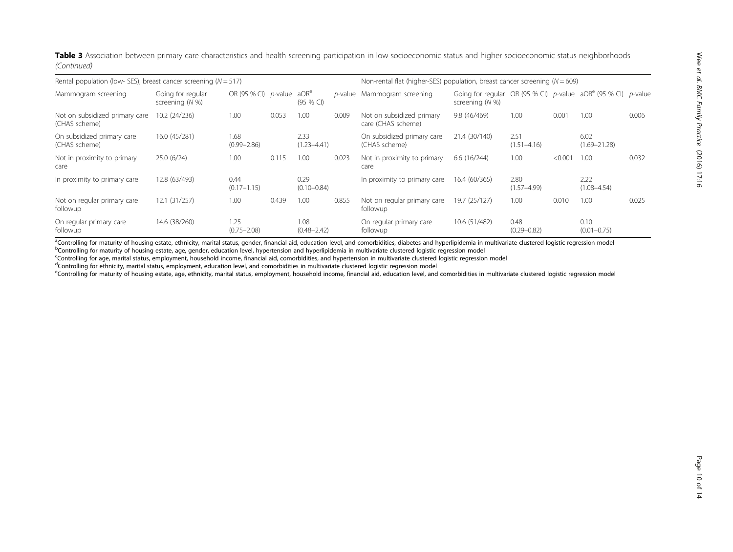Table 3 Association between primary care characteristics and health screening participation in low socioeconomic status and higher socioeconomic status neighborhoods (Continued)

| Rental population (low- SES), breast cancer screening ( $N = 517$ ) |                                      |                                          |       |                         | Non-rental flat (higher-SES) population, breast cancer screening ( $N = 609$ ) |                                                 |                                                                                      |                         |        |                          |       |
|---------------------------------------------------------------------|--------------------------------------|------------------------------------------|-------|-------------------------|--------------------------------------------------------------------------------|-------------------------------------------------|--------------------------------------------------------------------------------------|-------------------------|--------|--------------------------|-------|
| Mammogram screening                                                 | Going for regular<br>screening (N %) | OR (95 % CI) $p$ -value aOR <sup>e</sup> |       | $(95%$ CI)              |                                                                                | p-value Mammogram screening                     | Going for regular OR (95 % CI) p-value $aORe$ (95 % CI) p-value<br>screening $(N\%)$ |                         |        |                          |       |
| Not on subsidized primary care<br>(CHAS scheme)                     | 10.2 (24/236)                        | 1.00                                     | 0.053 | 1.00                    | 0.009                                                                          | Not on subsidized primary<br>care (CHAS scheme) | 9.8 (46/469)                                                                         | 1.00                    | 0.001  | 1.00                     | 0.006 |
| On subsidized primary care<br>(CHAS scheme)                         | 16.0 (45/281)                        | 1.68<br>$(0.99 - 2.86)$                  |       | 2.33<br>$(1.23 - 4.41)$ |                                                                                | On subsidized primary care<br>(CHAS scheme)     | 21.4 (30/140)                                                                        | 2.51<br>$(1.51 - 4.16)$ |        | 6.02<br>$(1.69 - 21.28)$ |       |
| Not in proximity to primary<br>care                                 | 25.0(6/24)                           | 1.00                                     | 0.115 | 1.00                    | 0.023                                                                          | Not in proximity to primary<br>care             | 6.6(16/244)                                                                          | 1.00                    | < 0.00 | 1.00                     | 0.032 |
| In proximity to primary care                                        | 12.8 (63/493)                        | 0.44<br>$(0.17 - 1.15)$                  |       | 0.29<br>$(0.10 - 0.84)$ |                                                                                | In proximity to primary care                    | 16.4 (60/365)                                                                        | 2.80<br>$(1.57 - 4.99)$ |        | 2.22<br>$(1.08 - 4.54)$  |       |
| Not on regular primary care<br>followup                             | 12.1 (31/257)                        | 1.00                                     | 0.439 | 1.00                    | 0.855                                                                          | Not on regular primary care<br>followup         | 19.7 (25/127)                                                                        | 1.00                    | 0.010  | 1.00                     | 0.025 |
| On regular primary care<br>followup                                 | 14.6 (38/260)                        | 1.25<br>$(0.75 - 2.08)$                  |       | 1.08<br>$(0.48 - 2.42)$ |                                                                                | On regular primary care<br>followup             | 10.6 (51/482)                                                                        | 0.48<br>$(0.29 - 0.82)$ |        | 0.10<br>$(0.01 - 0.75)$  |       |

<sup>a</sup>Controlling for maturity of housing estate, ethnicity, marital status, gender, financial aid, education level, and comorbidities, diabetes and hyperlipidemia in multivariate clustered logistic regression model bControlling for maturity of housing estate, age, gender, education level, hypertension and hyperlipidemia in multivariate clustered logistic regression model

c Controlling for age, marital status, employment, household income, financial aid, comorbidities, and hypertension in multivariate clustered logistic regression model

d Controlling for ethnicity, marital status, employment, education level, and comorbidities in multivariate clustered logistic regression model

eControlling for maturity of housing estate, age, ethnicity, marital status, employment, household income, financial aid, education level, and comorbidities in multivariate clustered logistic regression model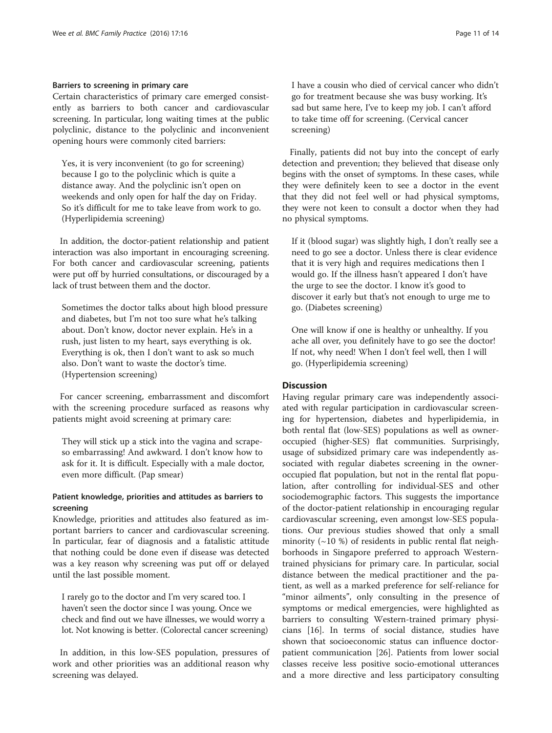## Barriers to screening in primary care

Certain characteristics of primary care emerged consistently as barriers to both cancer and cardiovascular screening. In particular, long waiting times at the public polyclinic, distance to the polyclinic and inconvenient opening hours were commonly cited barriers:

Yes, it is very inconvenient (to go for screening) because I go to the polyclinic which is quite a distance away. And the polyclinic isn't open on weekends and only open for half the day on Friday. So it's difficult for me to take leave from work to go. (Hyperlipidemia screening)

In addition, the doctor-patient relationship and patient interaction was also important in encouraging screening. For both cancer and cardiovascular screening, patients were put off by hurried consultations, or discouraged by a lack of trust between them and the doctor.

Sometimes the doctor talks about high blood pressure and diabetes, but I'm not too sure what he's talking about. Don't know, doctor never explain. He's in a rush, just listen to my heart, says everything is ok. Everything is ok, then I don't want to ask so much also. Don't want to waste the doctor's time. (Hypertension screening)

For cancer screening, embarrassment and discomfort with the screening procedure surfaced as reasons why patients might avoid screening at primary care:

They will stick up a stick into the vagina and scrapeso embarrassing! And awkward. I don't know how to ask for it. It is difficult. Especially with a male doctor, even more difficult. (Pap smear)

## Patient knowledge, priorities and attitudes as barriers to screening

Knowledge, priorities and attitudes also featured as important barriers to cancer and cardiovascular screening. In particular, fear of diagnosis and a fatalistic attitude that nothing could be done even if disease was detected was a key reason why screening was put off or delayed until the last possible moment.

I rarely go to the doctor and I'm very scared too. I haven't seen the doctor since I was young. Once we check and find out we have illnesses, we would worry a lot. Not knowing is better. (Colorectal cancer screening)

In addition, in this low-SES population, pressures of work and other priorities was an additional reason why screening was delayed.

I have a cousin who died of cervical cancer who didn't go for treatment because she was busy working. It's sad but same here, I've to keep my job. I can't afford to take time off for screening. (Cervical cancer screening)

Finally, patients did not buy into the concept of early detection and prevention; they believed that disease only begins with the onset of symptoms. In these cases, while they were definitely keen to see a doctor in the event that they did not feel well or had physical symptoms, they were not keen to consult a doctor when they had no physical symptoms.

If it (blood sugar) was slightly high, I don't really see a need to go see a doctor. Unless there is clear evidence that it is very high and requires medications then I would go. If the illness hasn't appeared I don't have the urge to see the doctor. I know it's good to discover it early but that's not enough to urge me to go. (Diabetes screening)

One will know if one is healthy or unhealthy. If you ache all over, you definitely have to go see the doctor! If not, why need! When I don't feel well, then I will go. (Hyperlipidemia screening)

## **Discussion**

Having regular primary care was independently associated with regular participation in cardiovascular screening for hypertension, diabetes and hyperlipidemia, in both rental flat (low-SES) populations as well as owneroccupied (higher-SES) flat communities. Surprisingly, usage of subsidized primary care was independently associated with regular diabetes screening in the owneroccupied flat population, but not in the rental flat population, after controlling for individual-SES and other sociodemographic factors. This suggests the importance of the doctor-patient relationship in encouraging regular cardiovascular screening, even amongst low-SES populations. Our previous studies showed that only a small minority  $(\sim 10 \%)$  of residents in public rental flat neighborhoods in Singapore preferred to approach Westerntrained physicians for primary care. In particular, social distance between the medical practitioner and the patient, as well as a marked preference for self-reliance for "minor ailments", only consulting in the presence of symptoms or medical emergencies, were highlighted as barriers to consulting Western-trained primary physicians [[16\]](#page-12-0). In terms of social distance, studies have shown that socioeconomic status can influence doctorpatient communication [[26\]](#page-12-0). Patients from lower social classes receive less positive socio-emotional utterances and a more directive and less participatory consulting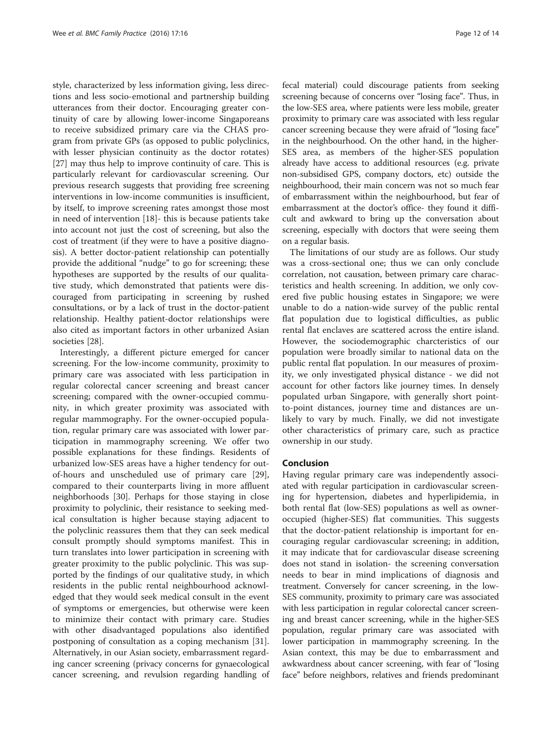style, characterized by less information giving, less directions and less socio-emotional and partnership building utterances from their doctor. Encouraging greater continuity of care by allowing lower-income Singaporeans to receive subsidized primary care via the CHAS program from private GPs (as opposed to public polyclinics, with lesser physician continuity as the doctor rotates) [[27\]](#page--1-0) may thus help to improve continuity of care. This is particularly relevant for cardiovascular screening. Our previous research suggests that providing free screening interventions in low-income communities is insufficient, by itself, to improve screening rates amongst those most in need of intervention [\[18\]](#page-12-0)- this is because patients take into account not just the cost of screening, but also the cost of treatment (if they were to have a positive diagnosis). A better doctor-patient relationship can potentially provide the additional "nudge" to go for screening; these hypotheses are supported by the results of our qualitative study, which demonstrated that patients were discouraged from participating in screening by rushed consultations, or by a lack of trust in the doctor-patient relationship. Healthy patient-doctor relationships were also cited as important factors in other urbanized Asian societies [[28\]](#page--1-0).

Interestingly, a different picture emerged for cancer screening. For the low-income community, proximity to primary care was associated with less participation in regular colorectal cancer screening and breast cancer screening; compared with the owner-occupied community, in which greater proximity was associated with regular mammography. For the owner-occupied population, regular primary care was associated with lower participation in mammography screening. We offer two possible explanations for these findings. Residents of urbanized low-SES areas have a higher tendency for outof-hours and unscheduled use of primary care [\[29](#page--1-0)], compared to their counterparts living in more affluent neighborhoods [\[30](#page--1-0)]. Perhaps for those staying in close proximity to polyclinic, their resistance to seeking medical consultation is higher because staying adjacent to the polyclinic reassures them that they can seek medical consult promptly should symptoms manifest. This in turn translates into lower participation in screening with greater proximity to the public polyclinic. This was supported by the findings of our qualitative study, in which residents in the public rental neighbourhood acknowledged that they would seek medical consult in the event of symptoms or emergencies, but otherwise were keen to minimize their contact with primary care. Studies with other disadvantaged populations also identified postponing of consultation as a coping mechanism [\[31](#page--1-0)]. Alternatively, in our Asian society, embarrassment regarding cancer screening (privacy concerns for gynaecological cancer screening, and revulsion regarding handling of fecal material) could discourage patients from seeking screening because of concerns over "losing face". Thus, in the low-SES area, where patients were less mobile, greater proximity to primary care was associated with less regular cancer screening because they were afraid of "losing face" in the neighbourhood. On the other hand, in the higher-SES area, as members of the higher-SES population already have access to additional resources (e.g. private non-subsidised GPS, company doctors, etc) outside the neighbourhood, their main concern was not so much fear of embarrassment within the neighbourhood, but fear of embarrassment at the doctor's office- they found it difficult and awkward to bring up the conversation about screening, especially with doctors that were seeing them on a regular basis.

The limitations of our study are as follows. Our study was a cross-sectional one; thus we can only conclude correlation, not causation, between primary care characteristics and health screening. In addition, we only covered five public housing estates in Singapore; we were unable to do a nation-wide survey of the public rental flat population due to logistical difficulties, as public rental flat enclaves are scattered across the entire island. However, the sociodemographic charcteristics of our population were broadly similar to national data on the public rental flat population. In our measures of proximity, we only investigated physical distance - we did not account for other factors like journey times. In densely populated urban Singapore, with generally short pointto-point distances, journey time and distances are unlikely to vary by much. Finally, we did not investigate other characteristics of primary care, such as practice ownership in our study.

### Conclusion

Having regular primary care was independently associated with regular participation in cardiovascular screening for hypertension, diabetes and hyperlipidemia, in both rental flat (low-SES) populations as well as owneroccupied (higher-SES) flat communities. This suggests that the doctor-patient relationship is important for encouraging regular cardiovascular screening; in addition, it may indicate that for cardiovascular disease screening does not stand in isolation- the screening conversation needs to bear in mind implications of diagnosis and treatment. Conversely for cancer screening, in the low-SES community, proximity to primary care was associated with less participation in regular colorectal cancer screening and breast cancer screening, while in the higher-SES population, regular primary care was associated with lower participation in mammography screening. In the Asian context, this may be due to embarrassment and awkwardness about cancer screening, with fear of "losing face" before neighbors, relatives and friends predominant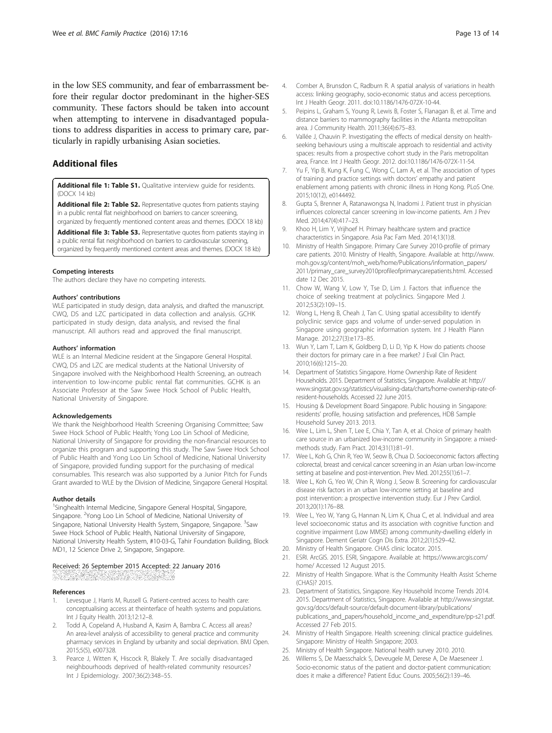<span id="page-12-0"></span>in the low SES community, and fear of embarrassment before their regular doctor predominant in the higher-SES community. These factors should be taken into account when attempting to intervene in disadvantaged populations to address disparities in access to primary care, particularly in rapidly urbanising Asian societies.

## Additional files

[Additional file 1: Table S1.](dx.doi.org/10.1186/s12875-016-0411-5) Qualitative interview quide for residents. (DOCX 14 kb)

[Additional file 2: Table S2.](dx.doi.org/10.1186/s12875-016-0411-5) Representative quotes from patients staying in a public rental flat neighborhood on barriers to cancer screening, organized by frequently mentioned content areas and themes. (DOCX 18 kb)

[Additional file 3: Table S3.](dx.doi.org/10.1186/s12875-016-0411-5) Representative quotes from patients staying in a public rental flat neighborhood on barriers to cardiovascular screening, organized by frequently mentioned content areas and themes. (DOCX 18 kb)

#### Competing interests

The authors declare they have no competing interests.

#### Authors' contributions

WLE participated in study design, data analysis, and drafted the manuscript. CWQ, DS and LZC participated in data collection and analysis. GCHK participated in study design, data analysis, and revised the final manuscript. All authors read and approved the final manuscript.

#### Authors' information

WLE is an Internal Medicine resident at the Singapore General Hospital. CWQ, DS and LZC are medical students at the National University of Singapore involved with the Neighborhood Health Screening, an outreach intervention to low-income public rental flat communities. GCHK is an Associate Professor at the Saw Swee Hock School of Public Health, National University of Singapore.

#### Acknowledgements

We thank the Neighborhood Health Screening Organising Committee; Saw Swee Hock School of Public Health; Yong Loo Lin School of Medicine, National University of Singapore for providing the non-financial resources to organize this program and supporting this study. The Saw Swee Hock School of Public Health and Yong Loo Lin School of Medicine, National University of Singapore, provided funding support for the purchasing of medical consumables. This research was also supported by a Junior Pitch for Funds Grant awarded to WLE by the Division of Medicine, Singapore General Hospital.

#### Author details

<sup>1</sup>Singhealth Internal Medicine, Singapore General Hospital, Singapore, Singapore. <sup>2</sup>Yong Loo Lin School of Medicine, National University of Singapore, National University Health System, Singapore, Singapore. <sup>3</sup>Saw Swee Hock School of Public Health, National University of Singapore, National University Health System, #10-03-G, Tahir Foundation Building, Block MD1, 12 Science Drive 2, Singapore, Singapore.

# Received: 26 September 2015 Accepted: 22 January 2016

#### References

- Levesque J, Harris M, Russell G. Patient-centred access to health care: conceptualising access at theinterface of health systems and populations. Int J Equity Health. 2013;12:12–8.
- 2. Todd A, Copeland A, Husband A, Kasim A, Bambra C. Access all areas? An area-level analysis of accessibility to general practice and community pharmacy services in England by urbanity and social deprivation. BMJ Open. 2015;5(5), e007328.
- 3. Pearce J, Witten K, Hiscock R, Blakely T. Are socially disadvantaged neighbourhoods deprived of health-related community resources? Int J Epidemiology. 2007;36(2):348–55.
- 4. Comber A, Brunsdon C, Radburn R. A spatial analysis of variations in health access: linking geography, socio-economic status and access perceptions. Int J Health Geogr. 2011. doi:[10.1186/1476-072X-10-44](http://dx.doi.org/10.1186/1476-072X-10-44).
- 5. Peipins L, Graham S, Young R, Lewis B, Foster S, Flanagan B, et al. Time and distance barriers to mammography facilities in the Atlanta metropolitan area. J Community Health. 2011;36(4):675–83.
- 6. Vallée J, Chauvin P. Investigating the effects of medical density on healthseeking behaviours using a multiscale approach to residential and activity spaces: results from a prospective cohort study in the Paris metropolitan area, France. Int J Health Geogr. 2012. doi:[10.1186/1476-072X-11-54.](http://dx.doi.org/10.1186/1476-072X-11-54)
- 7. Yu F, Yip B, Kung K, Fung C, Wong C, Lam A, et al. The association of types of training and practice settings with doctors' empathy and patient enablement among patients with chronic illness in Hong Kong. PLoS One. 2015;10(12), e0144492.
- 8. Gupta S, Brenner A, Ratanawongsa N, Inadomi J. Patient trust in physician influences colorectal cancer screening in low-income patients. Am J Prev Med. 2014;47(4):417–23.
- 9. Khoo H, Lim Y, Vrijhoef H. Primary healthcare system and practice characteristics in Singapore. Asia Pac Fam Med. 2014;13(1):8.
- 10. Ministry of Health Singapore. Primary Care Survey 2010-profile of primary care patients. 2010. Ministry of Health, Singapore. Available at: [http://www.](http://www.moh.gov.sg/content/moh_web/home/Publications/information_papers/2011/primary_care_survey2010profileofprimarycarepatients.html) [moh.gov.sg/content/moh\\_web/home/Publications/information\\_papers/](http://www.moh.gov.sg/content/moh_web/home/Publications/information_papers/2011/primary_care_survey2010profileofprimarycarepatients.html) [2011/primary\\_care\\_survey2010profileofprimarycarepatients.html](http://www.moh.gov.sg/content/moh_web/home/Publications/information_papers/2011/primary_care_survey2010profileofprimarycarepatients.html). Accessed date 12 Dec 2015.
- 11. Chow W, Wang V, Low Y, Tse D, Lim J. Factors that influence the choice of seeking treatment at polyclinics. Singapore Med J. 2012;53(2):109–15.
- 12. Wong L, Heng B, Cheah J, Tan C. Using spatial accessibility to identify polyclinic service gaps and volume of under-served population in Singapore using geographic information system. Int J Health Plann Manage. 2012;27(3):e173–85.
- 13. Wun Y, Lam T, Lam K, Goldberg D, Li D, Yip K. How do patients choose their doctors for primary care in a free market? J Eval Clin Pract. 2010;16(6):1215–20.
- 14. Department of Statistics Singapore. Home Ownership Rate of Resident Households. 2015. Department of Statistics, Singapore. Available at: [http://](http://www.singstat.gov.sg/statistics/visualising-data/charts/home-ownership-rate-of-resident-households) [www.singstat.gov.sg/statistics/visualising-data/charts/home-ownership-rate-of](http://www.singstat.gov.sg/statistics/visualising-data/charts/home-ownership-rate-of-resident-households)[resident-households.](http://www.singstat.gov.sg/statistics/visualising-data/charts/home-ownership-rate-of-resident-households) Accessed 22 June 2015.
- 15. Housing & Development Board Singapore. Public housing in Singapore: residents' profile, housing satisfaction and preferences, HDB Sample Household Survey 2013. 2013.
- 16. Wee L, Lim L, Shen T, Lee E, Chia Y, Tan A, et al. Choice of primary health care source in an urbanized low-income community in Singapore: a mixedmethods study. Fam Pract. 2014;31(1):81–91.
- 17. Wee L, Koh G, Chin R, Yeo W, Seow B, Chua D. Socioeconomic factors affecting colorectal, breast and cervical cancer screening in an Asian urban low-income setting at baseline and post-intervention. Prev Med. 2012;55(1):61–7.
- 18. Wee L, Koh G, Yeo W, Chin R, Wong J, Seow B. Screening for cardiovascular disease risk factors in an urban low-income setting at baseline and post intervention: a prospective intervention study. Eur J Prev Cardiol. 2013;20(1):176–88.
- 19. Wee L, Yeo W, Yang G, Hannan N, Lim K, Chua C, et al. Individual and area level socioeconomic status and its association with cognitive function and cognitive impairment (Low MMSE) among community-dwelling elderly in Singapore. Dement Geriatr Cogn Dis Extra. 2012;2(1):529–42.
- 20. Ministry of Health Singapore. CHAS clinic locator. 2015.
- 21. ESRI. ArcGIS. 2015. ESRI, Singapore. Available at: [https://www.arcgis.com/](https://www.arcgis.com/home/) [home/](https://www.arcgis.com/home/) Accessed 12 August 2015.
- 22. Ministry of Health Singapore. What is the Community Health Assist Scheme (CHAS)? 2015.
- 23. Department of Statistics, Singapore. Key Household Income Trends 2014. 2015. Department of Statistics, Singapore. Available at [http://www.singstat.](http://www.singstat.gov.sg/docs/default-source/default-document-library/publications/publications_and_papers/household_income_and_expenditure/pp-s21.pdf) [gov.sg/docs/default-source/default-document-library/publications/](http://www.singstat.gov.sg/docs/default-source/default-document-library/publications/publications_and_papers/household_income_and_expenditure/pp-s21.pdf) [publications\\_and\\_papers/household\\_income\\_and\\_expenditure/pp-s21.pdf](http://www.singstat.gov.sg/docs/default-source/default-document-library/publications/publications_and_papers/household_income_and_expenditure/pp-s21.pdf). Accessed 27 Feb 2015.
- 24. Ministry of Health Singapore. Health screening: clinical practice guidelines. Singapore: Ministry of Health Singapore; 2003.
- 25. Ministry of Health Singapore. National health survey 2010. 2010.
- 26. Willems S, De Maesschalck S, Deveugele M, Derese A, De Maeseneer J. Socio-economic status of the patient and doctor-patient communication: does it make a difference? Patient Educ Couns. 2005;56(2):139–46.